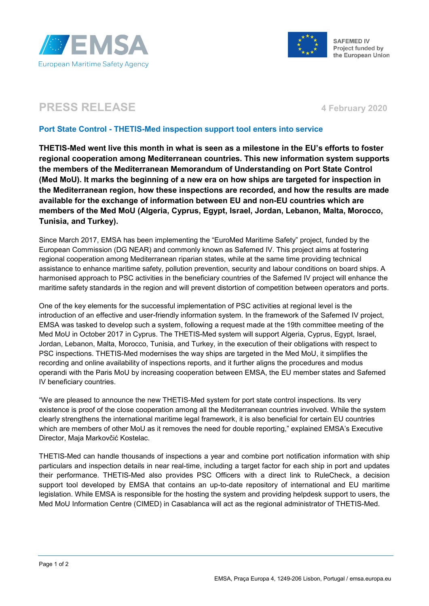



Project funded by the European Union

## **PRESS RELEASE** 4 **February** 2020

## **Port State Control - THETIS-Med inspection support tool enters into service**

**THETIS-Med went live this month in what is seen as a milestone in the EU's efforts to foster regional cooperation among Mediterranean countries. This new information system supports the members of the Mediterranean Memorandum of Understanding on Port State Control (Med MoU). It marks the beginning of a new era on how ships are targeted for inspection in the Mediterranean region, how these inspections are recorded, and how the results are made available for the exchange of information between EU and non-EU countries which are members of the Med MoU (Algeria, Cyprus, Egypt, Israel, Jordan, Lebanon, Malta, Morocco, Tunisia, and Turkey).**

Since March 2017, EMSA has been implementing the "EuroMed Maritime Safety" project, funded by the European Commission (DG NEAR) and commonly known as Safemed IV. This project aims at fostering regional cooperation among Mediterranean riparian states, while at the same time providing technical assistance to enhance maritime safety, pollution prevention, security and labour conditions on board ships. A harmonised approach to PSC activities in the beneficiary countries of the Safemed IV project will enhance the maritime safety standards in the region and will prevent distortion of competition between operators and ports.

One of the key elements for the successful implementation of PSC activities at regional level is the introduction of an effective and user-friendly information system. In the framework of the Safemed IV project, EMSA was tasked to develop such a system, following a request made at the 19th committee meeting of the Med MoU in October 2017 in Cyprus. The THETIS-Med system will support Algeria, Cyprus, Egypt, Israel, Jordan, Lebanon, Malta, Morocco, Tunisia, and Turkey, in the execution of their obligations with respect to PSC inspections. THETIS-Med modernises the way ships are targeted in the Med MoU, it simplifies the recording and online availability of inspections reports, and it further aligns the procedures and modus operandi with the Paris MoU by increasing cooperation between EMSA, the EU member states and Safemed IV beneficiary countries.

"We are pleased to announce the new THETIS-Med system for port state control inspections. Its very existence is proof of the close cooperation among all the Mediterranean countries involved. While the system clearly strengthens the international maritime legal framework, it is also beneficial for certain EU countries which are members of other MoU as it removes the need for double reporting," explained EMSA's Executive Director, Maja Markovčić Kostelac.

THETIS-Med can handle thousands of inspections a year and combine port notification information with ship particulars and inspection details in near real-time, including a target factor for each ship in port and updates their performance. THETIS-Med also provides PSC Officers with a direct link to RuleCheck, a decision support tool developed by EMSA that contains an up-to-date repository of international and EU maritime legislation. While EMSA is responsible for the hosting the system and providing helpdesk support to users, the Med MoU Information Centre (CIMED) in Casablanca will act as the regional administrator of THETIS-Med.